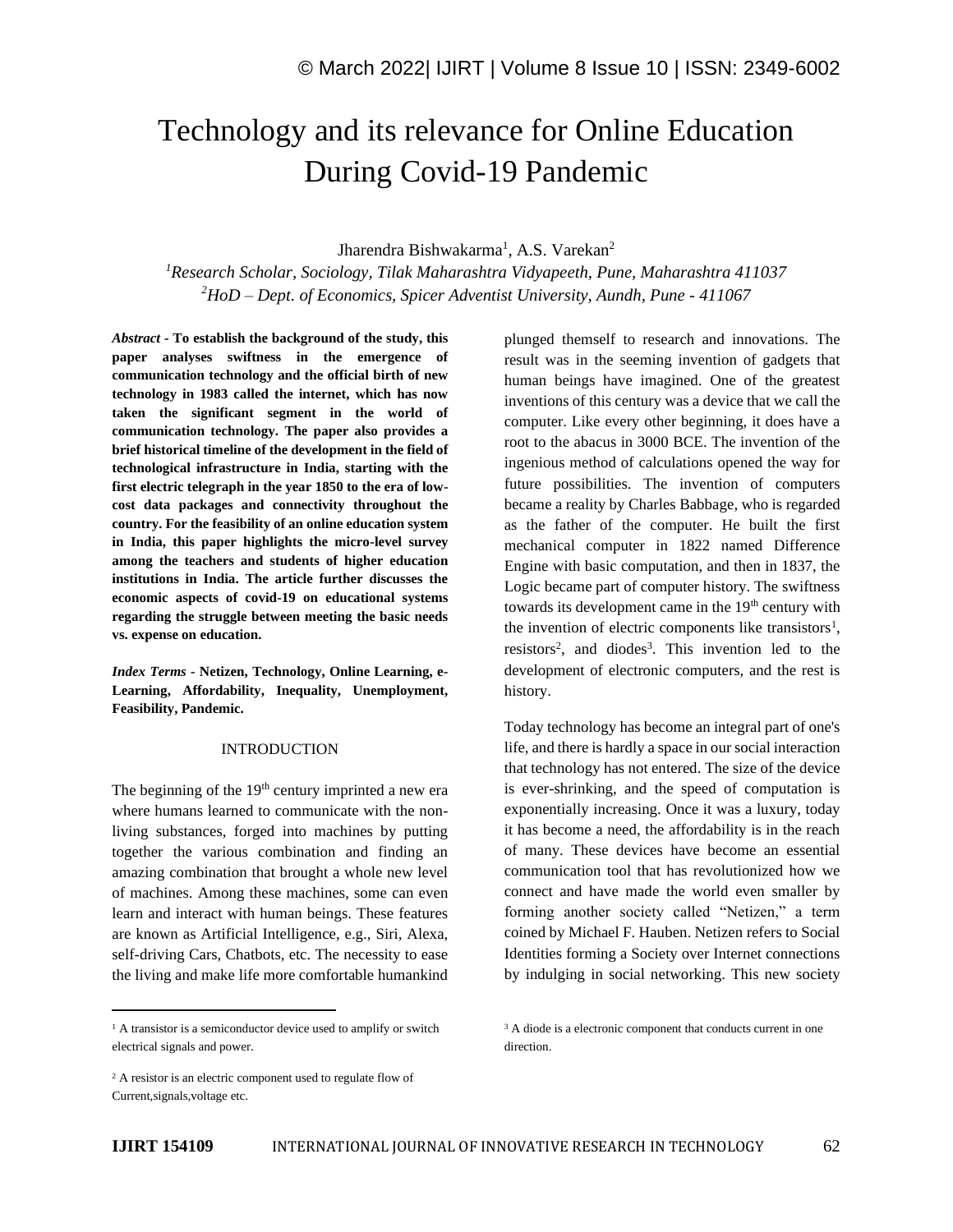# Technology and its relevance for Online Education During Covid-19 Pandemic

# Jharendra Bishwakarma<sup>1</sup>, A.S. Varekan<sup>2</sup>

*<sup>1</sup>Research Scholar, Sociology, Tilak Maharashtra Vidyapeeth, Pune, Maharashtra 411037 <sup>2</sup>HoD – Dept. of Economics, Spicer Adventist University, Aundh, Pune - 411067*

*Abstract -* **To establish the background of the study, this paper analyses swiftness in the emergence of communication technology and the official birth of new technology in 1983 called the internet, which has now taken the significant segment in the world of communication technology. The paper also provides a brief historical timeline of the development in the field of technological infrastructure in India, starting with the first electric telegraph in the year 1850 to the era of lowcost data packages and connectivity throughout the country. For the feasibility of an online education system in India, this paper highlights the micro-level survey among the teachers and students of higher education institutions in India. The article further discusses the economic aspects of covid-19 on educational systems regarding the struggle between meeting the basic needs vs. expense on education.**

*Index Terms -* **Netizen, Technology, Online Learning, e-Learning, Affordability, Inequality, Unemployment, Feasibility, Pandemic.**

## **INTRODUCTION**

The beginning of the  $19<sup>th</sup>$  century imprinted a new era where humans learned to communicate with the nonliving substances, forged into machines by putting together the various combination and finding an amazing combination that brought a whole new level of machines. Among these machines, some can even learn and interact with human beings. These features are known as Artificial Intelligence, e.g., Siri, Alexa, self-driving Cars, Chatbots, etc. The necessity to ease the living and make life more comfortable humankind

<sup>1</sup> A transistor is a semiconductor device used to amplify or switch electrical signals and power.

Today technology has become an integral part of one's life, and there is hardly a space in our social interaction that technology has not entered. The size of the device is ever-shrinking, and the speed of computation is exponentially increasing. Once it was a luxury, today it has become a need, the affordability is in the reach of many. These devices have become an essential communication tool that has revolutionized how we connect and have made the world even smaller by forming another society called "Netizen," a term coined by Michael F. Hauben. Netizen refers to Social Identities forming a Society over Internet connections by indulging in social networking. This new society

plunged themself to research and innovations. The result was in the seeming invention of gadgets that human beings have imagined. One of the greatest inventions of this century was a device that we call the computer. Like every other beginning, it does have a root to the abacus in 3000 BCE. The invention of the ingenious method of calculations opened the way for future possibilities. The invention of computers became a reality by Charles Babbage, who is regarded as the father of the computer. He built the first mechanical computer in 1822 named Difference Engine with basic computation, and then in 1837, the Logic became part of computer history. The swiftness towards its development came in the 19<sup>th</sup> century with the invention of electric components like transistors<sup>1</sup>, resistors<sup>2</sup>, and diodes<sup>3</sup>. This invention led to the development of electronic computers, and the rest is history.

<sup>&</sup>lt;sup>3</sup> A diode is a electronic component that conducts current in one direction.

<sup>&</sup>lt;sup>2</sup> A resistor is an electric component used to regulate flow of Current,signals,voltage etc.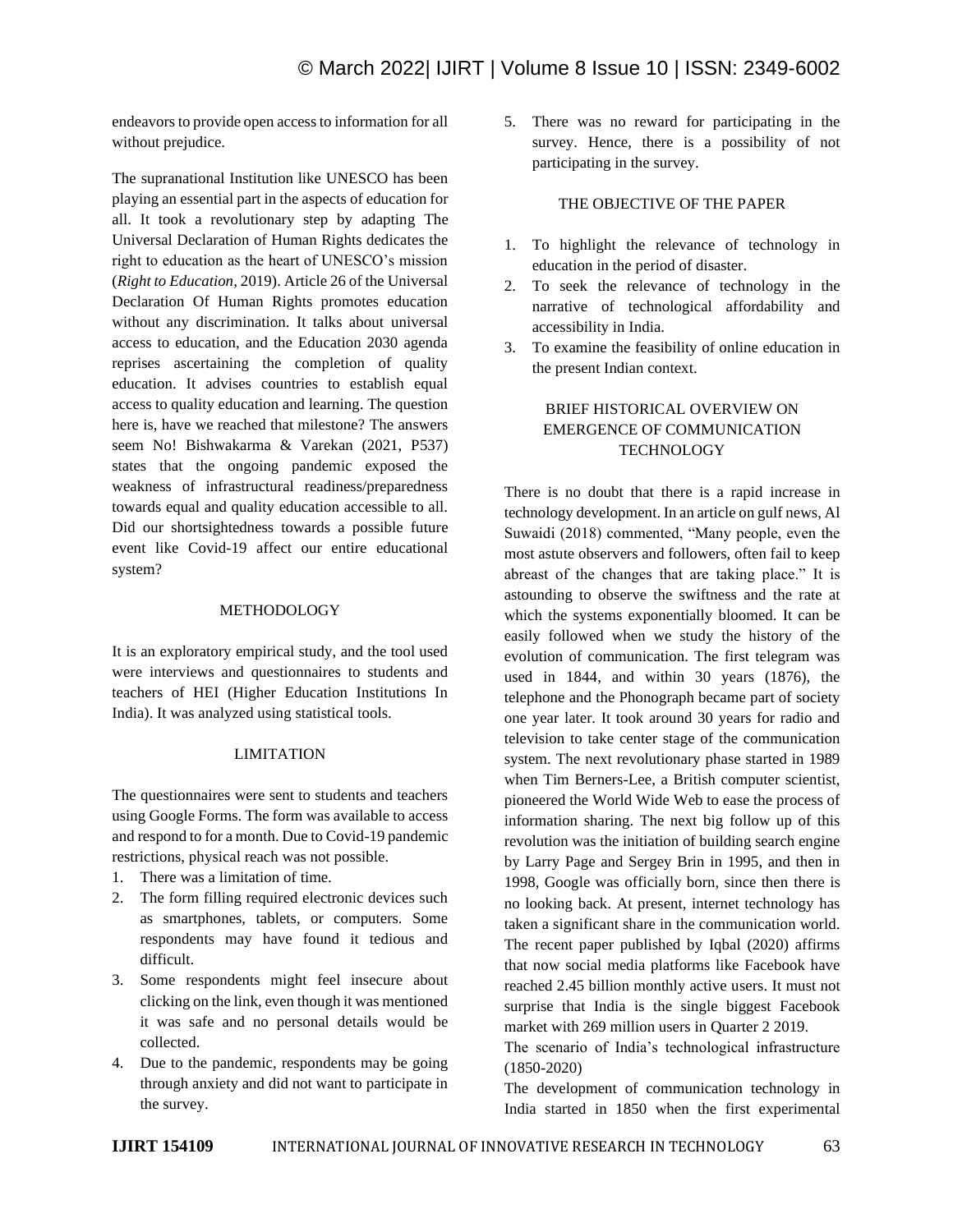endeavors to provide open access to information for all without prejudice.

The supranational Institution like UNESCO has been playing an essential part in the aspects of education for all. It took a revolutionary step by adapting The Universal Declaration of Human Rights dedicates the right to education as the heart of UNESCO's mission (*Right to Education*, 2019). Article 26 of the Universal Declaration Of Human Rights promotes education without any discrimination. It talks about universal access to education, and the Education 2030 agenda reprises ascertaining the completion of quality education. It advises countries to establish equal access to quality education and learning. The question here is, have we reached that milestone? The answers seem No! Bishwakarma & Varekan (2021, P537) states that the ongoing pandemic exposed the weakness of infrastructural readiness/preparedness towards equal and quality education accessible to all. Did our shortsightedness towards a possible future event like Covid-19 affect our entire educational system?

## **METHODOLOGY**

It is an exploratory empirical study, and the tool used were interviews and questionnaires to students and teachers of HEI (Higher Education Institutions In India). It was analyzed using statistical tools.

### LIMITATION

The questionnaires were sent to students and teachers using Google Forms. The form was available to access and respond to for a month. Due to Covid-19 pandemic restrictions, physical reach was not possible.

- 1. There was a limitation of time.
- 2. The form filling required electronic devices such as smartphones, tablets, or computers. Some respondents may have found it tedious and difficult.
- 3. Some respondents might feel insecure about clicking on the link, even though it was mentioned it was safe and no personal details would be collected.
- 4. Due to the pandemic, respondents may be going through anxiety and did not want to participate in the survey.

5. There was no reward for participating in the survey. Hence, there is a possibility of not participating in the survey.

#### THE OBJECTIVE OF THE PAPER

- 1. To highlight the relevance of technology in education in the period of disaster.
- 2. To seek the relevance of technology in the narrative of technological affordability and accessibility in India.
- 3. To examine the feasibility of online education in the present Indian context.

# BRIEF HISTORICAL OVERVIEW ON EMERGENCE OF COMMUNICATION **TECHNOLOGY**

There is no doubt that there is a rapid increase in technology development. In an article on gulf news, Al Suwaidi (2018) commented, "Many people, even the most astute observers and followers, often fail to keep abreast of the changes that are taking place." It is astounding to observe the swiftness and the rate at which the systems exponentially bloomed. It can be easily followed when we study the history of the evolution of communication. The first telegram was used in 1844, and within 30 years (1876), the telephone and the Phonograph became part of society one year later. It took around 30 years for radio and television to take center stage of the communication system. The next revolutionary phase started in 1989 when Tim Berners-Lee, a British computer scientist, pioneered the World Wide Web to ease the process of information sharing. The next big follow up of this revolution was the initiation of building search engine by Larry Page and Sergey Brin in 1995, and then in 1998, Google was officially born, since then there is no looking back. At present, internet technology has taken a significant share in the communication world. The recent paper published by Iqbal (2020) affirms that now social media platforms like Facebook have reached 2.45 billion monthly active users. It must not surprise that India is the single biggest Facebook market with 269 million users in Quarter 2 2019.

The scenario of India's technological infrastructure (1850-2020)

The development of communication technology in India started in 1850 when the first experimental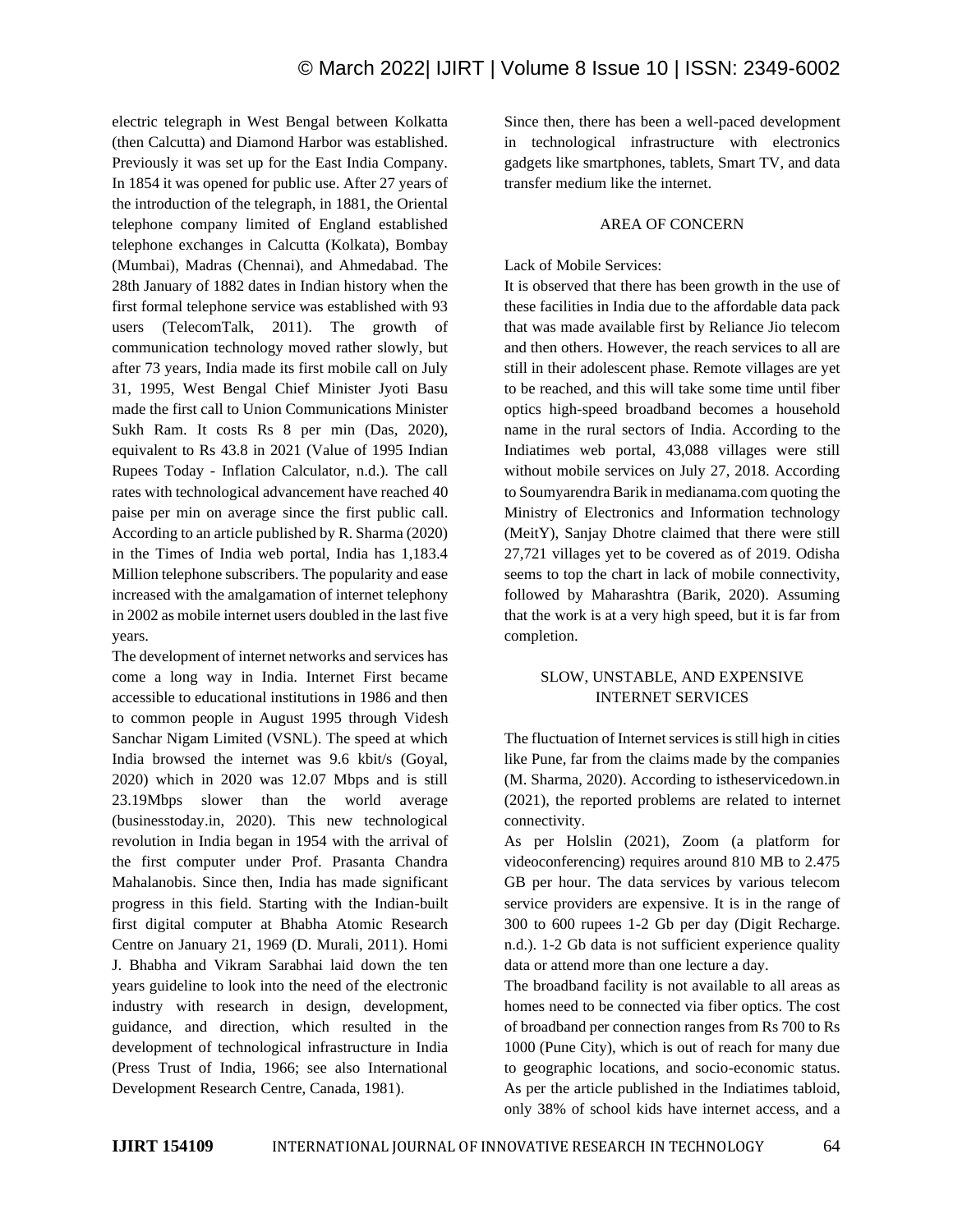electric telegraph in West Bengal between Kolkatta (then Calcutta) and Diamond Harbor was established. Previously it was set up for the East India Company. In 1854 it was opened for public use. After 27 years of the introduction of the telegraph, in 1881, the Oriental telephone company limited of England established telephone exchanges in Calcutta (Kolkata), Bombay (Mumbai), Madras (Chennai), and Ahmedabad. The 28th January of 1882 dates in Indian history when the first formal telephone service was established with 93 users (TelecomTalk, 2011). The growth of communication technology moved rather slowly, but after 73 years, India made its first mobile call on July 31, 1995, West Bengal Chief Minister Jyoti Basu made the first call to Union Communications Minister Sukh Ram. It costs Rs 8 per min (Das, 2020), equivalent to Rs 43.8 in 2021 (Value of 1995 Indian Rupees Today - Inflation Calculator, n.d.). The call rates with technological advancement have reached 40 paise per min on average since the first public call. According to an article published by R. Sharma (2020) in the Times of India web portal, India has 1,183.4 Million telephone subscribers. The popularity and ease increased with the amalgamation of internet telephony in 2002 as mobile internet users doubled in the last five years.

The development of internet networks and services has come a long way in India. Internet First became accessible to educational institutions in 1986 and then to common people in August 1995 through Videsh Sanchar Nigam Limited (VSNL). The speed at which India browsed the internet was 9.6 kbit/s (Goyal, 2020) which in 2020 was 12.07 Mbps and is still 23.19Mbps slower than the world average (businesstoday.in, 2020). This new technological revolution in India began in 1954 with the arrival of the first computer under Prof. Prasanta Chandra Mahalanobis. Since then, India has made significant progress in this field. Starting with the Indian-built first digital computer at Bhabha Atomic Research Centre on January 21, 1969 (D. Murali, 2011). Homi J. Bhabha and Vikram Sarabhai laid down the ten years guideline to look into the need of the electronic industry with research in design, development, guidance, and direction, which resulted in the development of technological infrastructure in India (Press Trust of India, 1966; see also International Development Research Centre, Canada, 1981).

Since then, there has been a well-paced development in technological infrastructure with electronics gadgets like smartphones, tablets, Smart TV, and data transfer medium like the internet.

#### AREA OF CONCERN

#### Lack of Mobile Services:

It is observed that there has been growth in the use of these facilities in India due to the affordable data pack that was made available first by Reliance Jio telecom and then others. However, the reach services to all are still in their adolescent phase. Remote villages are yet to be reached, and this will take some time until fiber optics high-speed broadband becomes a household name in the rural sectors of India. According to the Indiatimes web portal, 43,088 villages were still without mobile services on July 27, 2018. According to Soumyarendra Barik in medianama.com quoting the Ministry of Electronics and Information technology (MeitY), Sanjay Dhotre claimed that there were still 27,721 villages yet to be covered as of 2019. Odisha seems to top the chart in lack of mobile connectivity, followed by Maharashtra (Barik, 2020). Assuming that the work is at a very high speed, but it is far from completion.

# SLOW, UNSTABLE, AND EXPENSIVE INTERNET SERVICES

The fluctuation of Internet services is still high in cities like Pune, far from the claims made by the companies (M. Sharma, 2020). According to istheservicedown.in (2021), the reported problems are related to internet connectivity.

As per Holslin (2021), Zoom (a platform for videoconferencing) requires around 810 MB to 2.475 GB per hour. The data services by various telecom service providers are expensive. It is in the range of 300 to 600 rupees 1-2 Gb per day (Digit Recharge. n.d.). 1-2 Gb data is not sufficient experience quality data or attend more than one lecture a day.

The broadband facility is not available to all areas as homes need to be connected via fiber optics. The cost of broadband per connection ranges from Rs 700 to Rs 1000 (Pune City), which is out of reach for many due to geographic locations, and socio-economic status. As per the article published in the Indiatimes tabloid, only 38% of school kids have internet access, and a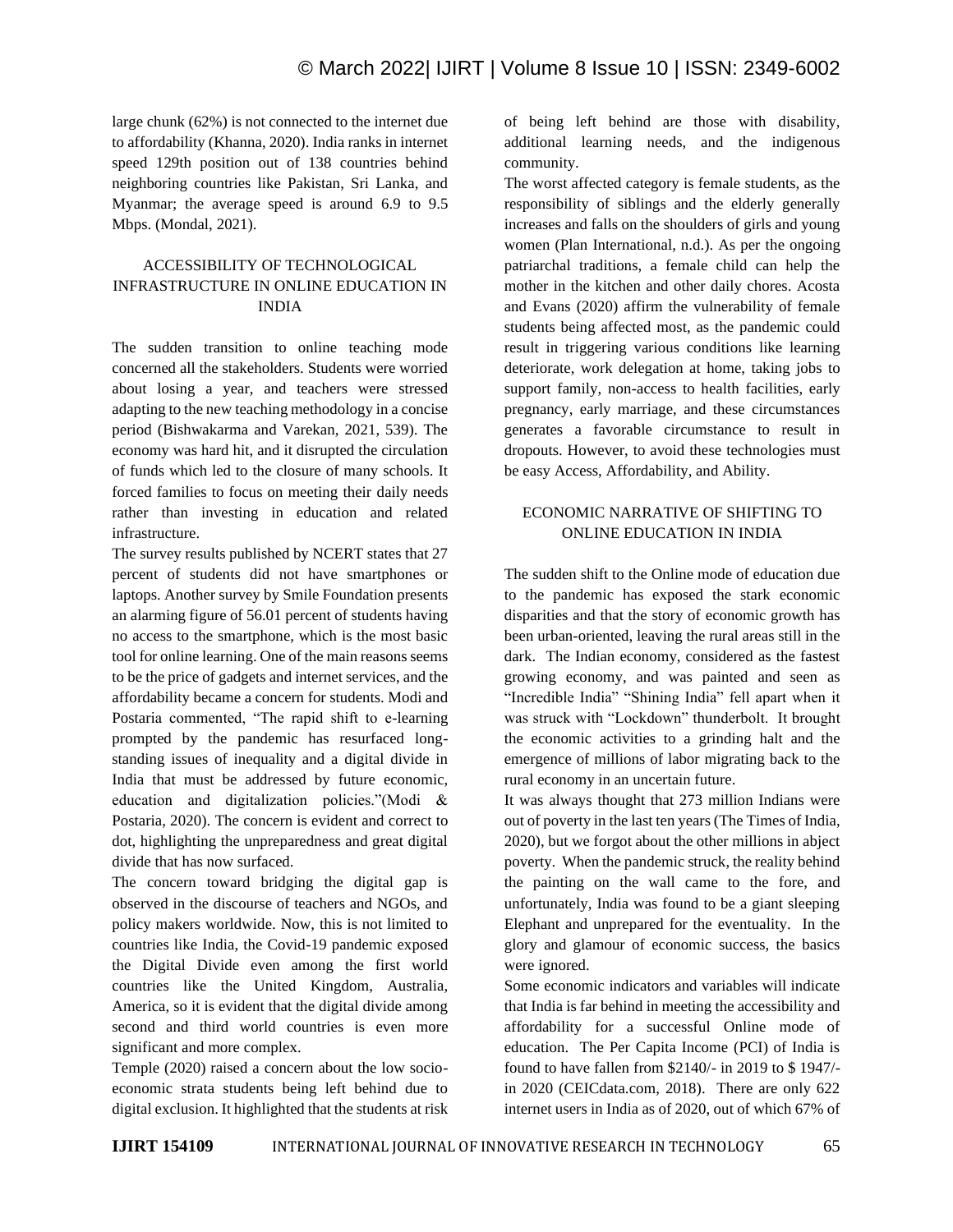large chunk (62%) is not connected to the internet due to affordability (Khanna, 2020). India ranks in internet speed 129th position out of 138 countries behind neighboring countries like Pakistan, Sri Lanka, and Myanmar; the average speed is around 6.9 to 9.5 Mbps. (Mondal, 2021).

# ACCESSIBILITY OF TECHNOLOGICAL INFRASTRUCTURE IN ONLINE EDUCATION IN INDIA

The sudden transition to online teaching mode concerned all the stakeholders. Students were worried about losing a year, and teachers were stressed adapting to the new teaching methodology in a concise period (Bishwakarma and Varekan, 2021, 539). The economy was hard hit, and it disrupted the circulation of funds which led to the closure of many schools. It forced families to focus on meeting their daily needs rather than investing in education and related infrastructure.

The survey results published by NCERT states that 27 percent of students did not have smartphones or laptops. Another survey by Smile Foundation presents an alarming figure of 56.01 percent of students having no access to the smartphone, which is the most basic tool for online learning. One of the main reasons seems to be the price of gadgets and internet services, and the affordability became a concern for students. Modi and Postaria commented, "The rapid shift to e-learning prompted by the pandemic has resurfaced longstanding issues of inequality and a digital divide in India that must be addressed by future economic, education and digitalization policies."(Modi & Postaria, 2020). The concern is evident and correct to dot, highlighting the unpreparedness and great digital divide that has now surfaced.

The concern toward bridging the digital gap is observed in the discourse of teachers and NGOs, and policy makers worldwide. Now, this is not limited to countries like India, the Covid-19 pandemic exposed the Digital Divide even among the first world countries like the United Kingdom, Australia, America, so it is evident that the digital divide among second and third world countries is even more significant and more complex.

Temple (2020) raised a concern about the low socioeconomic strata students being left behind due to digital exclusion. It highlighted that the students at risk of being left behind are those with disability, additional learning needs, and the indigenous community.

The worst affected category is female students, as the responsibility of siblings and the elderly generally increases and falls on the shoulders of girls and young women (Plan International, n.d.). As per the ongoing patriarchal traditions, a female child can help the mother in the kitchen and other daily chores. Acosta and Evans (2020) affirm the vulnerability of female students being affected most, as the pandemic could result in triggering various conditions like learning deteriorate, work delegation at home, taking jobs to support family, non-access to health facilities, early pregnancy, early marriage, and these circumstances generates a favorable circumstance to result in dropouts. However, to avoid these technologies must be easy Access, Affordability, and Ability.

# ECONOMIC NARRATIVE OF SHIFTING TO ONLINE EDUCATION IN INDIA

The sudden shift to the Online mode of education due to the pandemic has exposed the stark economic disparities and that the story of economic growth has been urban-oriented, leaving the rural areas still in the dark. The Indian economy, considered as the fastest growing economy, and was painted and seen as "Incredible India" "Shining India" fell apart when it was struck with "Lockdown" thunderbolt. It brought the economic activities to a grinding halt and the emergence of millions of labor migrating back to the rural economy in an uncertain future.

It was always thought that 273 million Indians were out of poverty in the last ten years (The Times of India, 2020), but we forgot about the other millions in abject poverty. When the pandemic struck, the reality behind the painting on the wall came to the fore, and unfortunately, India was found to be a giant sleeping Elephant and unprepared for the eventuality. In the glory and glamour of economic success, the basics were ignored.

Some economic indicators and variables will indicate that India is far behind in meeting the accessibility and affordability for a successful Online mode of education. The Per Capita Income (PCI) of India is found to have fallen from \$2140/- in 2019 to \$ 1947/ in 2020 (CEICdata.com, 2018). There are only 622 internet users in India as of 2020, out of which 67% of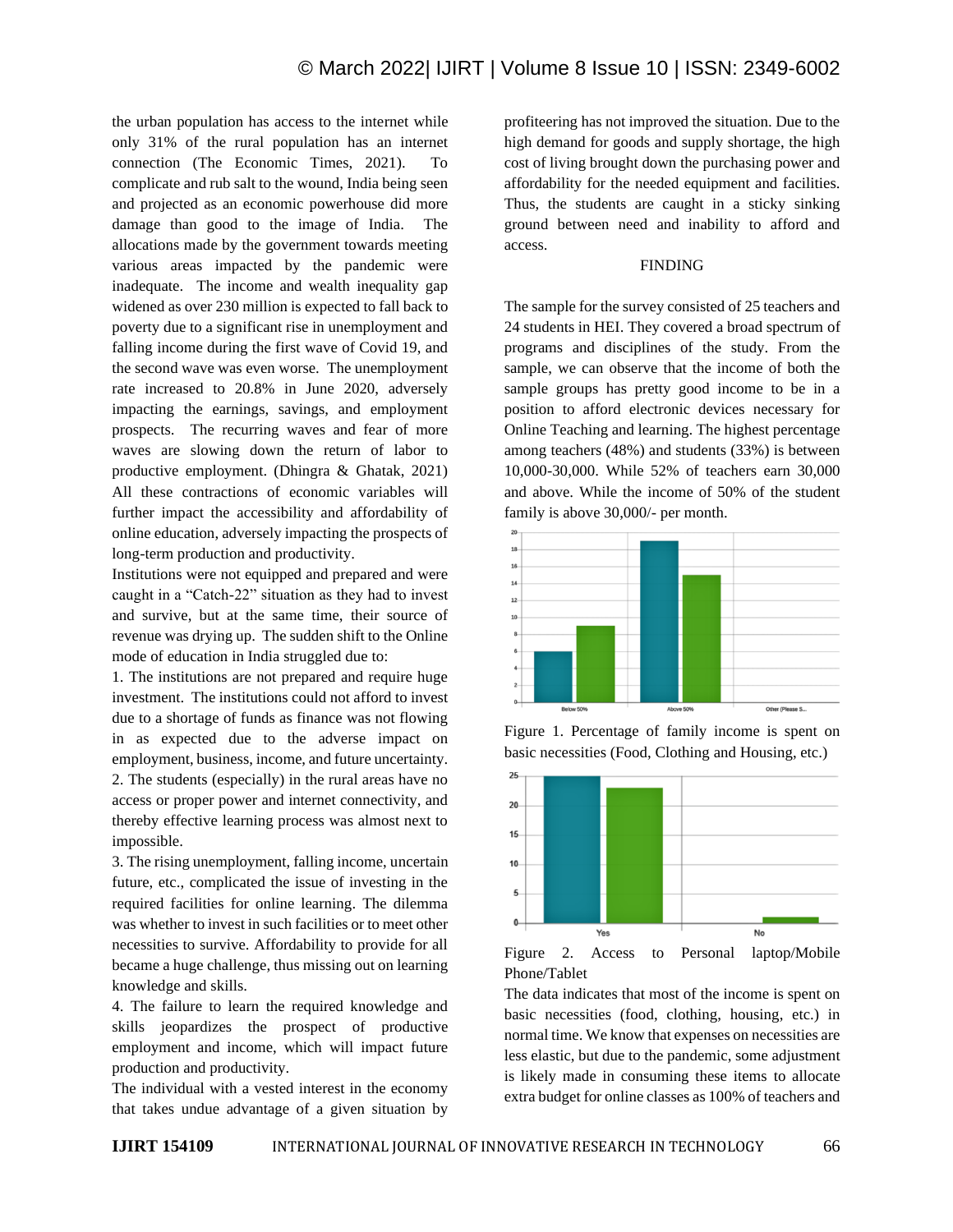the urban population has access to the internet while only 31% of the rural population has an internet connection (The Economic Times, 2021). To complicate and rub salt to the wound, India being seen and projected as an economic powerhouse did more damage than good to the image of India. The allocations made by the government towards meeting various areas impacted by the pandemic were inadequate. The income and wealth inequality gap widened as over 230 million is expected to fall back to poverty due to a significant rise in unemployment and falling income during the first wave of Covid 19, and the second wave was even worse. The unemployment rate increased to 20.8% in June 2020, adversely impacting the earnings, savings, and employment prospects. The recurring waves and fear of more waves are slowing down the return of labor to productive employment. (Dhingra & Ghatak, 2021) All these contractions of economic variables will further impact the accessibility and affordability of online education, adversely impacting the prospects of long-term production and productivity.

Institutions were not equipped and prepared and were caught in a "Catch-22" situation as they had to invest and survive, but at the same time, their source of revenue was drying up. The sudden shift to the Online mode of education in India struggled due to:

1. The institutions are not prepared and require huge investment. The institutions could not afford to invest due to a shortage of funds as finance was not flowing in as expected due to the adverse impact on employment, business, income, and future uncertainty. 2. The students (especially) in the rural areas have no access or proper power and internet connectivity, and thereby effective learning process was almost next to impossible.

3. The rising unemployment, falling income, uncertain future, etc., complicated the issue of investing in the required facilities for online learning. The dilemma was whether to invest in such facilities or to meet other necessities to survive. Affordability to provide for all became a huge challenge, thus missing out on learning knowledge and skills.

4. The failure to learn the required knowledge and skills jeopardizes the prospect of productive employment and income, which will impact future production and productivity.

The individual with a vested interest in the economy that takes undue advantage of a given situation by profiteering has not improved the situation. Due to the high demand for goods and supply shortage, the high cost of living brought down the purchasing power and affordability for the needed equipment and facilities. Thus, the students are caught in a sticky sinking ground between need and inability to afford and access.

# FINDING

The sample for the survey consisted of 25 teachers and 24 students in HEI. They covered a broad spectrum of programs and disciplines of the study. From the sample, we can observe that the income of both the sample groups has pretty good income to be in a position to afford electronic devices necessary for Online Teaching and learning. The highest percentage among teachers (48%) and students (33%) is between 10,000-30,000. While 52% of teachers earn 30,000 and above. While the income of 50% of the student family is above 30,000/- per month.



Figure 1. Percentage of family income is spent on basic necessities (Food, Clothing and Housing, etc.)



Figure 2. Access to Personal laptop/Mobile Phone/Tablet

The data indicates that most of the income is spent on basic necessities (food, clothing, housing, etc.) in normal time. We know that expenses on necessities are less elastic, but due to the pandemic, some adjustment is likely made in consuming these items to allocate extra budget for online classes as 100% of teachers and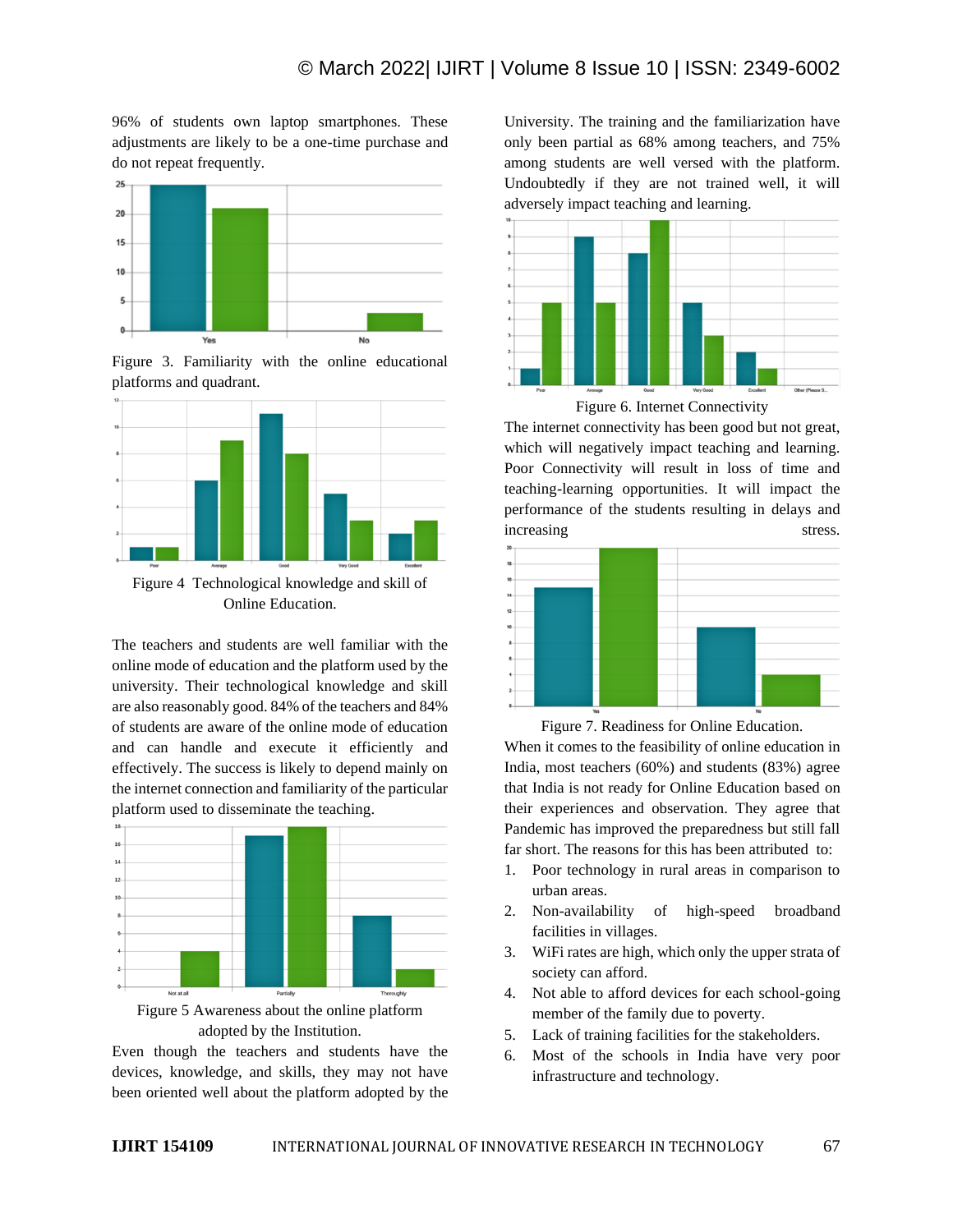96% of students own laptop smartphones. These adjustments are likely to be a one-time purchase and do not repeat frequently.



Figure 3. Familiarity with the online educational platforms and quadrant.



Figure 4 Technological knowledge and skill of Online Education.

The teachers and students are well familiar with the online mode of education and the platform used by the university. Their technological knowledge and skill are also reasonably good. 84% of the teachers and 84% of students are aware of the online mode of education and can handle and execute it efficiently and effectively. The success is likely to depend mainly on the internet connection and familiarity of the particular platform used to disseminate the teaching.





Even though the teachers and students have the devices, knowledge, and skills, they may not have been oriented well about the platform adopted by the University. The training and the familiarization have only been partial as 68% among teachers, and 75% among students are well versed with the platform. Undoubtedly if they are not trained well, it will adversely impact teaching and learning.



Figure 6. Internet Connectivity

The internet connectivity has been good but not great, which will negatively impact teaching and learning. Poor Connectivity will result in loss of time and teaching-learning opportunities. It will impact the performance of the students resulting in delays and increasing stress.



Figure 7. Readiness for Online Education.

When it comes to the feasibility of online education in India, most teachers (60%) and students (83%) agree that India is not ready for Online Education based on their experiences and observation. They agree that Pandemic has improved the preparedness but still fall far short. The reasons for this has been attributed to:

- 1. Poor technology in rural areas in comparison to urban areas.
- 2. Non-availability of high-speed broadband facilities in villages.
- 3. WiFi rates are high, which only the upper strata of society can afford.
- 4. Not able to afford devices for each school-going member of the family due to poverty.
- 5. Lack of training facilities for the stakeholders.
- 6. Most of the schools in India have very poor infrastructure and technology.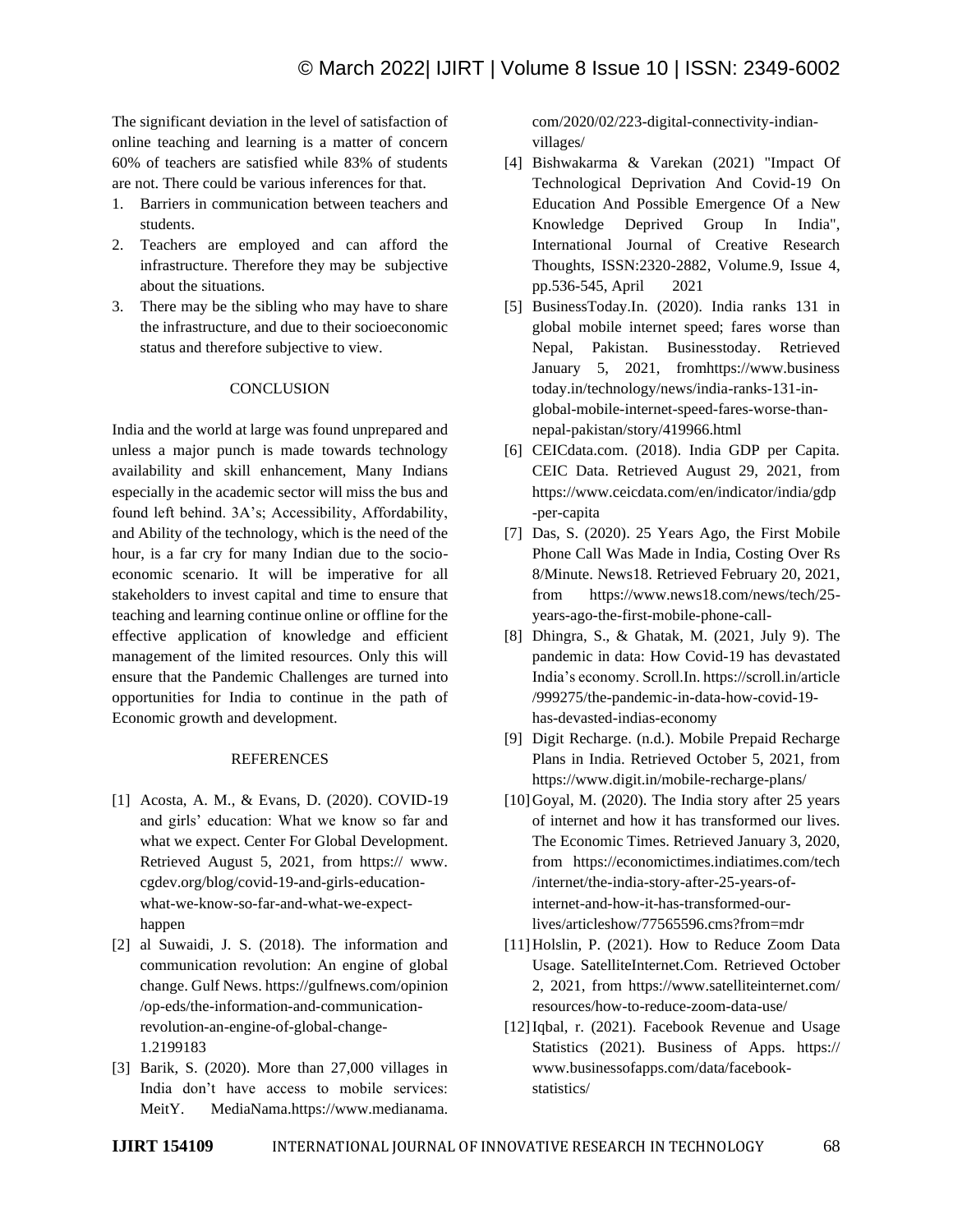The significant deviation in the level of satisfaction of online teaching and learning is a matter of concern 60% of teachers are satisfied while 83% of students are not. There could be various inferences for that.

- 1. Barriers in communication between teachers and students.
- 2. Teachers are employed and can afford the infrastructure. Therefore they may be subjective about the situations.
- 3. There may be the sibling who may have to share the infrastructure, and due to their socioeconomic status and therefore subjective to view.

## **CONCLUSION**

India and the world at large was found unprepared and unless a major punch is made towards technology availability and skill enhancement, Many Indians especially in the academic sector will miss the bus and found left behind. 3A's; Accessibility, Affordability, and Ability of the technology, which is the need of the hour, is a far cry for many Indian due to the socioeconomic scenario. It will be imperative for all stakeholders to invest capital and time to ensure that teaching and learning continue online or offline for the effective application of knowledge and efficient management of the limited resources. Only this will ensure that the Pandemic Challenges are turned into opportunities for India to continue in the path of Economic growth and development.

#### REFERENCES

- [1] Acosta, A. M., & Evans, D. (2020). COVID-19 and girls' education: What we know so far and what we expect. Center For Global Development. Retrieved August 5, 2021, from https:// www. cgdev.org/blog/covid-19-and-girls-educationwhat-we-know-so-far-and-what-we-expecthappen
- [2] al Suwaidi, J. S. (2018). The information and communication revolution: An engine of global change. Gulf News. https://gulfnews.com/opinion /op-eds/the-information-and-communicationrevolution-an-engine-of-global-change-1.2199183
- [3] Barik, S. (2020). More than 27,000 villages in India don't have access to mobile services: MeitY. MediaNama.https://www.medianama.

com/2020/02/223-digital-connectivity-indianvillages/

- [4] Bishwakarma & Varekan (2021) "Impact Of Technological Deprivation And Covid-19 On Education And Possible Emergence Of a New Knowledge Deprived Group In India", International Journal of Creative Research Thoughts, ISSN:2320-2882, Volume.9, Issue 4, pp.536-545, April 2021
- [5] BusinessToday.In. (2020). India ranks 131 in global mobile internet speed; fares worse than Nepal, Pakistan. Businesstoday. Retrieved January 5, 2021, fromhttps://www.business today.in/technology/news/india-ranks-131-inglobal-mobile-internet-speed-fares-worse-thannepal-pakistan/story/419966.html
- [6] CEICdata.com. (2018). India GDP per Capita. CEIC Data. Retrieved August 29, 2021, from https://www.ceicdata.com/en/indicator/india/gdp -per-capita
- [7] Das, S. (2020). 25 Years Ago, the First Mobile Phone Call Was Made in India, Costing Over Rs 8/Minute. News18. Retrieved February 20, 2021, from https://www.news18.com/news/tech/25 years-ago-the-first-mobile-phone-call-
- [8] Dhingra, S., & Ghatak, M. (2021, July 9). The pandemic in data: How Covid-19 has devastated India's economy. Scroll.In. https://scroll.in/article /999275/the-pandemic-in-data-how-covid-19 has-devasted-indias-economy
- [9] Digit Recharge. (n.d.). Mobile Prepaid Recharge Plans in India. Retrieved October 5, 2021, from https://www.digit.in/mobile-recharge-plans/
- $[10]$ Goyal, M. (2020). The India story after 25 years of internet and how it has transformed our lives. The Economic Times. Retrieved January 3, 2020, from https://economictimes.indiatimes.com/tech /internet/the-india-story-after-25-years-ofinternet-and-how-it-has-transformed-ourlives/articleshow/77565596.cms?from=mdr
- [11] Holslin, P. (2021). How to Reduce Zoom Data Usage. SatelliteInternet.Com. Retrieved October 2, 2021, from https://www.satelliteinternet.com/ resources/how-to-reduce-zoom-data-use/
- [12]Iqbal, r. (2021). Facebook Revenue and Usage Statistics (2021). Business of Apps. https:// www.businessofapps.com/data/facebookstatistics/